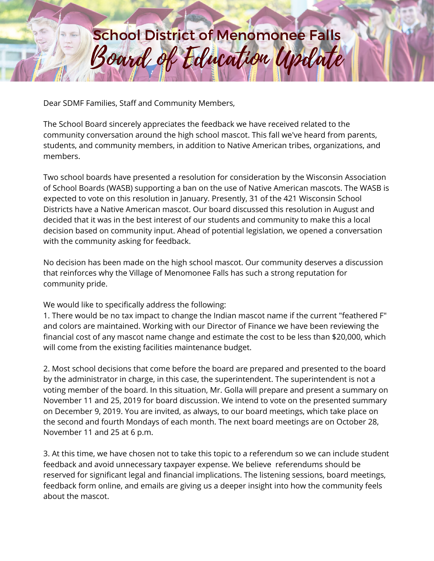## Board of Education Update **School District of Menomonee Falls**

Dear SDMF Families, Staff and Community Members,

The School Board sincerely appreciates the feedback we have received related to the community conversation around the high school mascot. This fall we've heard from parents, students, and community members, in addition to Native American tribes, organizations, and members.

Two school boards have presented a resolution for consideration by the Wisconsin Association of School Boards (WASB) supporting a ban on the use of Native American mascots. The WASB is expected to vote on this resolution in January. Presently, 31 of the 421 Wisconsin School Districts have a Native American mascot. Our board discussed this resolution in August and decided that it was in the best interest of our students and community to make this a local decision based on community input. Ahead of potential legislation, we opened a conversation with the community asking for feedback.

No decision has been made on the high school mascot. Our community deserves a discussion that reinforces why the Village of Menomonee Falls has such a strong reputation for community pride.

We would like to specifically address the following:

1. There would be no tax impact to change the Indian mascot name if the current "feathered F" and colors are maintained. Working with our Director of Finance we have been reviewing the financial cost of any mascot name change and estimate the cost to be less than \$20,000, which will come from the existing facilities maintenance budget.

2. Most school decisions that come before the board are prepared and presented to the board by the administrator in charge, in this case, the superintendent. The superintendent is not a voting member of the board. In this situation, Mr. Golla will prepare and present a summary on November 11 and 25, 2019 for board discussion. We intend to vote on the presented summary on December 9, 2019. You are invited, as always, to our board meetings, which take place on the second and fourth Mondays of each month. The next board meetings are on October 28, November 11 and 25 at 6 p.m.

3. At this time, we have chosen not to take this topic to a referendum so we can include student feedback and avoid unnecessary taxpayer expense. We believe referendums should be reserved for significant legal and financial implications. The listening sessions, board meetings, feedback form online, and emails are giving us a deeper insight into how the community feels about the mascot.